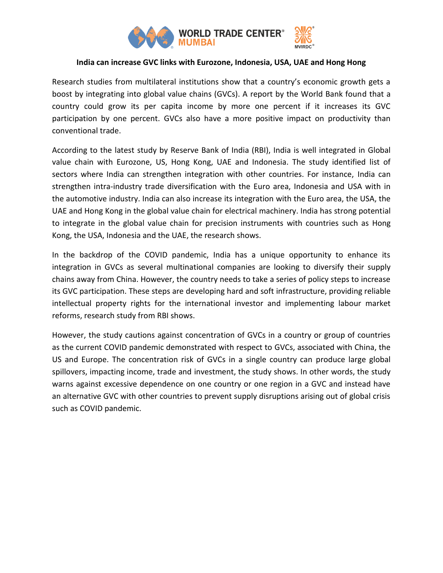

## **India can increase GVC links with Eurozone, Indonesia, USA, UAE and Hong Hong**

Research studies from multilateral institutions show that a country's economic growth gets a boost by integrating into global value chains (GVCs). A report by the World Bank found that a country could grow its per capita income by more one percent if it increases its GVC participation by one percent. GVCs also have a more positive impact on productivity than conventional trade.

According to the latest study by Reserve Bank of India (RBI), India is well integrated in Global value chain with Eurozone, US, Hong Kong, UAE and Indonesia. The study identified list of sectors where India can strengthen integration with other countries. For instance, India can strengthen intra-industry trade diversification with the Euro area, Indonesia and USA with in the automotive industry. India can also increase its integration with the Euro area, the USA, the UAE and Hong Kong in the global value chain for electrical machinery. India has strong potential to integrate in the global value chain for precision instruments with countries such as Hong Kong, the USA, Indonesia and the UAE, the research shows.

In the backdrop of the COVID pandemic, India has a unique opportunity to enhance its integration in GVCs as several multinational companies are looking to diversify their supply chains away from China. However, the country needs to take a series of policy steps to increase its GVC participation. These steps are developing hard and soft infrastructure, providing reliable intellectual property rights for the international investor and implementing labour market reforms, research study from RBI shows.

However, the study cautions against concentration of GVCs in a country or group of countries as the current COVID pandemic demonstrated with respect to GVCs, associated with China, the US and Europe. The concentration risk of GVCs in a single country can produce large global spillovers, impacting income, trade and investment, the study shows. In other words, the study warns against excessive dependence on one country or one region in a GVC and instead have an alternative GVC with other countries to prevent supply disruptions arising out of global crisis such as COVID pandemic.